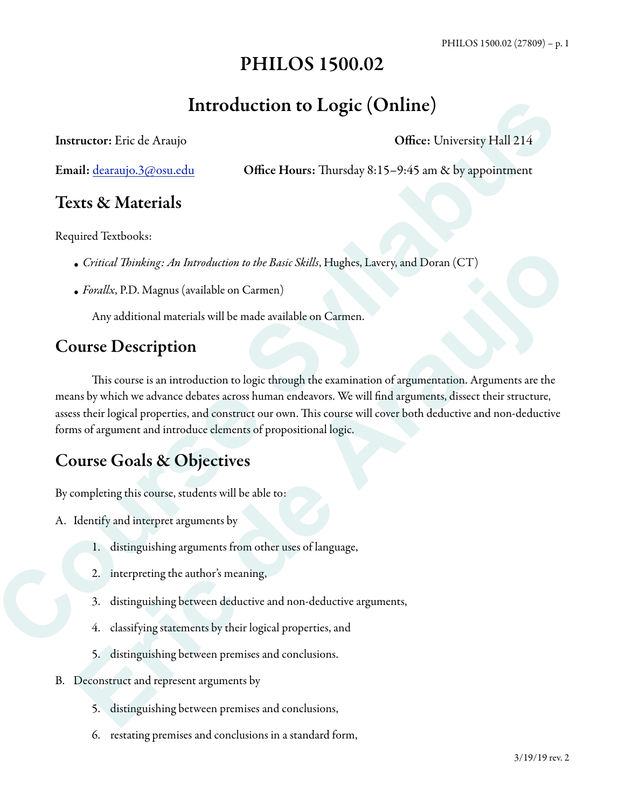# PHILOS 1500.02

# Introduction to Logic (Online)

Instructor: Eric de Araujo **Office: University Hall 214** 

Email: <u>dearaujo.3@osu.edu</u> **Office Hours:** Thursday 8:15–9:45 am & by appointment

# Texts & Materials

Required Textbooks:

- *• Critical* T*inking: An Introduction to the Basic Skills*, Hughes, Lavery, and Doran (CT)
- *• Forallx*, P.D. Magnus (available on Carmen)

Any additional materials will be made available on Carmen.

# Course Description

This course is an introduction to logic through the examination of argumentation. Arguments are the means by which we advance debates across human endeavors. We will find arguments, dissect their structure, assess their logical properties, and construct our own. This course will cover both deductive and non-deductive forms of argument and introduce elements of propositional logic. **Course Syllabus Course Syllabus Course Syllabus Course Syllabus Course Syllabus Control and Context Conversity Hall 214<br>
Email: <u>destration 360 coursed</u><br>
Control Headers Syllabus Context Thursday 8.15–9.45 am & by appoint •** Critical Thinking: An Introduction to the Basic Skills, Hughes, Lavery, and Doran (CT)<br>• *Forallas*, P.D. Magnus (available on Carmen)<br>• Any additional materials will be made available on Carmen.<br>**DUISE DESCription**<br>•

# Course Goals & Objectives

By completing this course, students will be able to:

- A. Identify and interpret arguments by
	- 1. distinguishing arguments from other uses of language,
	- 2. interpreting the author's meaning,
	- 3. distinguishing between deductive and non-deductive arguments,
	- 4. classifying statements by their logical properties, and
	- 5. distinguishing between premises and conclusions.
- B. Deconstruct and represent arguments by
	- 5. distinguishing between premises and conclusions,
	- 6. restating premises and conclusions in a standard form,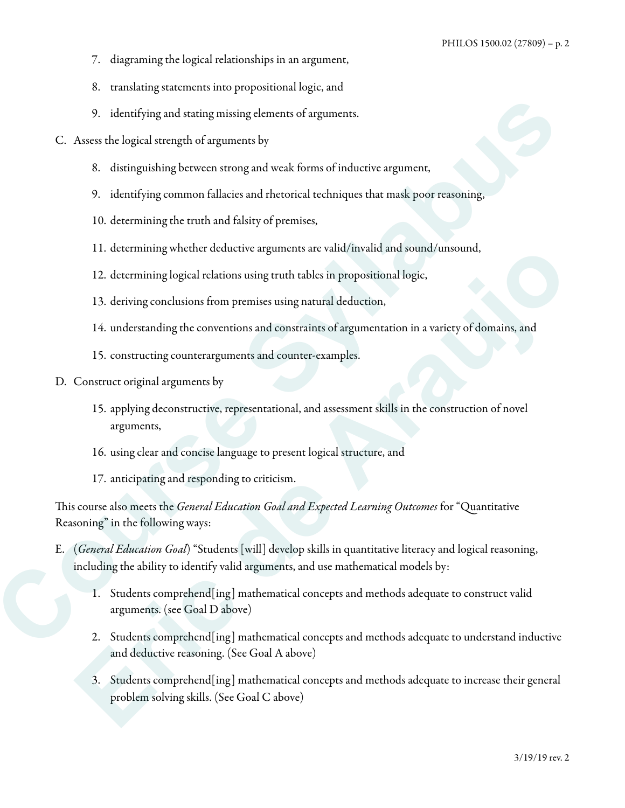- 7. diagraming the logical relationships in an argument,
- 8. translating statements into propositional logic, and
- 9. identifying and stating missing elements of arguments.
- C. Assess the logical strength of arguments by
	- 8. distinguishing between strong and weak forms of inductive argument,
	- 9. identifying common fallacies and rhetorical techniques that mask poor reasoning,
	- 10. determining the truth and falsity of premises,
	- 11. determining whether deductive arguments are valid/invalid and sound/unsound,
	- 12. determining logical relations using truth tables in propositional logic,
	- 13. deriving conclusions from premises using natural deduction,
	- 14. understanding the conventions and constraints of argumentation in a variety of domains, and
	- 15. constructing counterarguments and counter-examples.
- D. Construct original arguments by
	- 15. applying deconstructive, representational, and assessment skills in the construction of novel arguments,
	- 16. using clear and concise language to present logical structure, and
	- 17. anticipating and responding to criticism.

Tis course also meets the *General Education Goal and Expected Learning Outcomes* for "Quantitative Reasoning" in the following ways:

- E. (*General Education Goal*) "Students [will] develop skills in quantitative literacy and logical reasoning, including the ability to identify valid arguments, and use mathematical models by: 9. **identifying and starting missing elements of arguments.**<br> **C.** Assess the logical strength of arguments by<br>
8. distringuishing between strong and weak forms of intlustive argument,<br>
9. identifying common fallacks and r
	- 1. Students comprehend[ing] mathematical concepts and methods adequate to construct valid arguments. (see Goal D above)
	- 2. Students comprehend[ing] mathematical concepts and methods adequate to understand inductive and deductive reasoning. (See Goal A above)
	- 3. Students comprehend[ing] mathematical concepts and methods adequate to increase their general problem solving skills. (See Goal C above) 11. determining whether deductive arguments are valid imvalid and sound/unsound,<br>
	12. determining logical relations using truth tables in propositional legic,<br>
	13. deriving conclusions from premises using natural deduction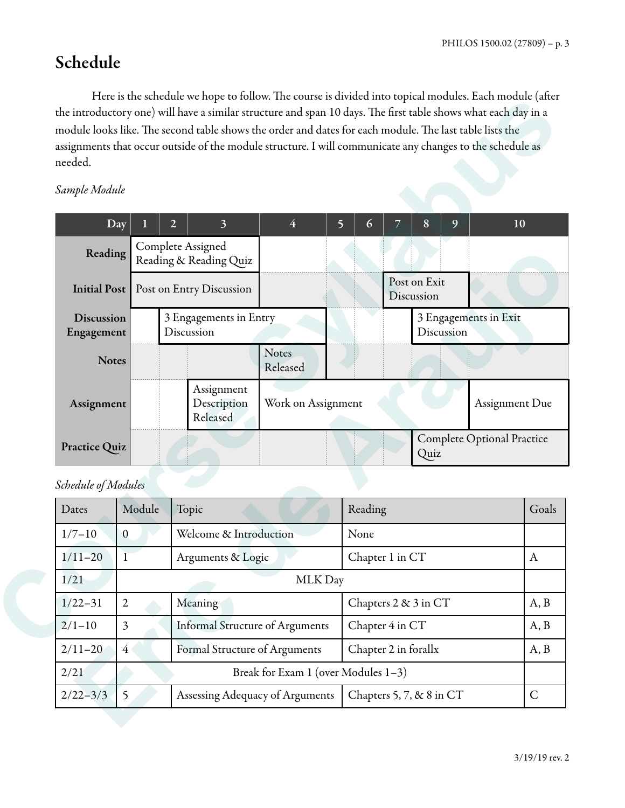# Schedule

Here is the schedule we hope to follow. The course is divided into topical modules. Each module (after the introductory one) will have a similar structure and span 10 days. The first table shows what each day in a module looks like. The second table shows the order and dates for each module. The last table lists the assignments that occur outside of the module structure. I will communicate any changes to the schedule as needed.

#### *Sample Module*

| Sample Module                   |                |                                             |                                     |         |                      |                            |                                   |       |
|---------------------------------|----------------|---------------------------------------------|-------------------------------------|---------|----------------------|----------------------------|-----------------------------------|-------|
|                                 |                |                                             |                                     |         |                      |                            |                                   |       |
|                                 | Day            | $\overline{3}$<br>$\overline{2}$            | $\overline{4}$                      | 5<br>6  | 7                    | 8<br>9                     |                                   | 10    |
| Reading                         |                | Complete Assigned<br>Reading & Reading Quiz |                                     |         |                      |                            |                                   |       |
| <b>Initial Post</b>             |                | Post on Entry Discussion                    |                                     |         |                      | Post on Exit<br>Discussion |                                   |       |
| <b>Discussion</b><br>Engagement |                | Discussion                                  | 3 Engagements in Entry              |         |                      | Discussion                 | 3 Engagements in Exit             |       |
|                                 | <b>Notes</b>   |                                             | Notes<br>Released                   |         |                      |                            |                                   |       |
| Assignment                      |                | Assignment<br>Description<br>Released       | Work on Assignment                  |         |                      |                            | Assignment Due                    |       |
| Practice Quiz                   |                |                                             |                                     |         |                      | Quiz                       | <b>Complete Optional Practice</b> |       |
| Schedule of Modules             |                |                                             |                                     |         |                      |                            |                                   |       |
| Dates                           | Module         | Topic                                       |                                     | Reading |                      |                            |                                   | Goals |
| $1/7 - 10$                      | $\overline{0}$ | Welcome & Introduction                      |                                     | None    |                      |                            |                                   |       |
|                                 | $\mathbf{1}$   | Arguments & Logic                           |                                     |         | Chapter 1 in CT      |                            |                                   | A     |
| $1/11-20$                       |                | MLK Day                                     |                                     |         |                      |                            |                                   |       |
| 1/21                            |                | Meaning                                     |                                     |         |                      | Chapters 2 & 3 in CT       |                                   | A, B  |
| $1/22 - 31$                     | $\mathbf{2}$   |                                             |                                     |         | Chapter 4 in CT      |                            |                                   | A, B  |
| $2/1 - 10$                      | $\overline{3}$ | <b>Informal Structure of Arguments</b>      |                                     |         |                      |                            |                                   |       |
| $2/11 - 20$                     | $\overline{4}$ | Formal Structure of Arguments               |                                     |         | Chapter 2 in forallx |                            |                                   |       |
| 2/21                            |                |                                             | Break for Exam 1 (over Modules 1-3) |         |                      |                            |                                   | A, B  |

#### *Schedule of Modules*

| Dates        | Module                              | Topic                                  | Reading                  | Goals        |  |  |
|--------------|-------------------------------------|----------------------------------------|--------------------------|--------------|--|--|
| $1/7 - 10$   | $\mathbf{0}$                        | Welcome & Introduction                 | None                     |              |  |  |
| $1/11-20$    |                                     | Arguments & Logic                      | Chapter 1 in CT          | A            |  |  |
| 1/21         |                                     | MLK Day                                |                          |              |  |  |
| $1/22 - 31$  | $\overline{2}$                      | Meaning                                | Chapters 2 & 3 in CT     | A, B         |  |  |
| $2/1-10$     | 3                                   | <b>Informal Structure of Arguments</b> | Chapter 4 in CT          | A, B         |  |  |
| $2/11 - 20$  | 4                                   | Formal Structure of Arguments          | Chapter 2 in forallx     | A, B         |  |  |
| 2/21         | Break for Exam 1 (over Modules 1-3) |                                        |                          |              |  |  |
| $2/22 - 3/3$ | 5                                   | Assessing Adequacy of Arguments        | Chapters 5, 7, & 8 in CT | $\mathsf{C}$ |  |  |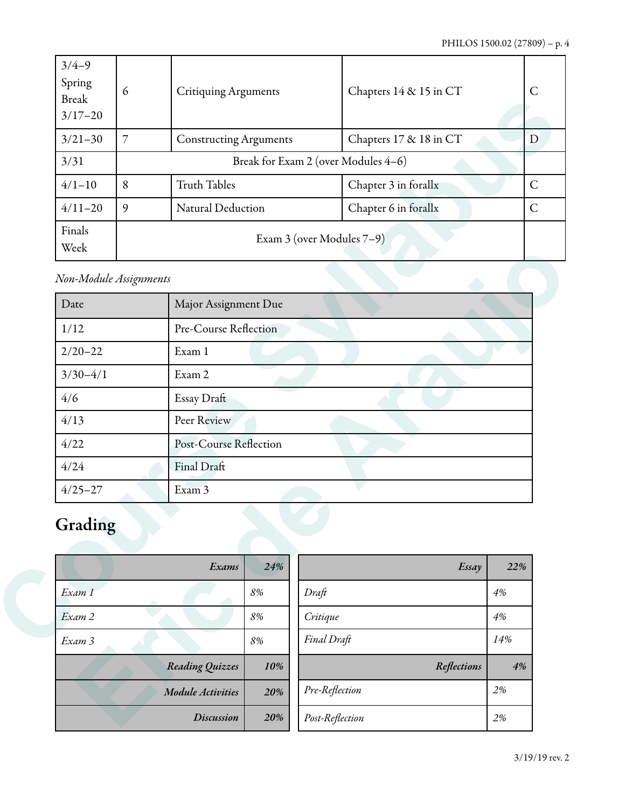| $3/4-9$<br>Spring<br><b>Break</b><br>$3/17 - 20$ | 6                                   | <b>Critiquing Arguments</b>   | Chapters 14 & 15 in CT | $\mathsf{C}$ |  |  |
|--------------------------------------------------|-------------------------------------|-------------------------------|------------------------|--------------|--|--|
| $3/21 - 30$                                      | 7                                   | <b>Constructing Arguments</b> | Chapters 17 & 18 in CT | D            |  |  |
| 3/31                                             | Break for Exam 2 (over Modules 4-6) |                               |                        |              |  |  |
| $4/1 - 10$                                       | 8                                   | <b>Truth Tables</b>           | Chapter 3 in forallx   | $\mathsf{C}$ |  |  |
| $4/11 - 20$                                      | 9                                   | Natural Deduction             | Chapter 6 in forallx   | $\mathsf{C}$ |  |  |
| Finals<br>Week                                   |                                     | Exam 3 (over Modules 7–9)     |                        |              |  |  |

## *Non-Module Assignments*

| Break<br>$3/17 - 20$ |                        |                               |       |                                     |                 |
|----------------------|------------------------|-------------------------------|-------|-------------------------------------|-----------------|
| $3/21 - 30$          | $\overline{7}$         | <b>Constructing Arguments</b> |       | Chapters 17 & 18 in CT              |                 |
| 3/31                 |                        |                               |       | Break for Exam 2 (over Modules 4-6) |                 |
| $4/1 - 10$           | 8                      | <b>Truth Tables</b>           |       | Chapter 3 in forallx                |                 |
| $4/11 - 20$          | 9                      | Natural Deduction             |       | Chapter 6 in forallx                |                 |
| Finals<br>Week       |                        |                               |       | Exam 3 (over Modules 7-9)           |                 |
|                      | Non-Module Assignments |                               |       |                                     |                 |
| Date                 |                        | Major Assignment Due          |       |                                     |                 |
| 1/12                 |                        | Pre-Course Reflection         |       |                                     |                 |
| $2/20 - 22$          |                        | Exam 1                        |       |                                     |                 |
| $3/30-4/1$           |                        | Exam 2                        |       |                                     |                 |
| 4/6                  |                        | Essay Draft                   |       |                                     |                 |
| 4/13                 |                        | Peer Review                   |       |                                     |                 |
| 4/22                 |                        | Post-Course Reflection        |       |                                     |                 |
| 4/24                 |                        | Final Draft                   |       |                                     |                 |
| $4/25 - 27$          |                        | Exam 3                        |       |                                     |                 |
| Grading              |                        |                               |       |                                     |                 |
|                      |                        | Exams                         | 24%   |                                     | Essay           |
| Exam 1               |                        |                               | $8\%$ | Draft                               | $4\%$           |
| Exam 2               |                        |                               | $8\%$ | Critique                            | 4%              |
| Exam 3               |                        |                               | 8%    | Final Draft                         | 14%             |
|                      |                        | Reading Quizzes               | 10%   | Reflections                         |                 |
|                      |                        | Module Activities             | 20%   | Pre-Reflection                      | 22%<br>4%<br>2% |

# Grading

| Exams                  | 24% | Essay           | 22% |
|------------------------|-----|-----------------|-----|
| Exam 1                 | 8%  | Draft           | 4%  |
| Exam 2                 | 8%  | Critique        | 4%  |
| Exam 3                 | 8%  | Final Draft     | 14% |
| <b>Reading Quizzes</b> | 10% | Reflections     | 4%  |
| Module Activities      | 20% | Pre-Reflection  | 2%  |
| <b>Discussion</b>      | 20% | Post-Reflection | 2%  |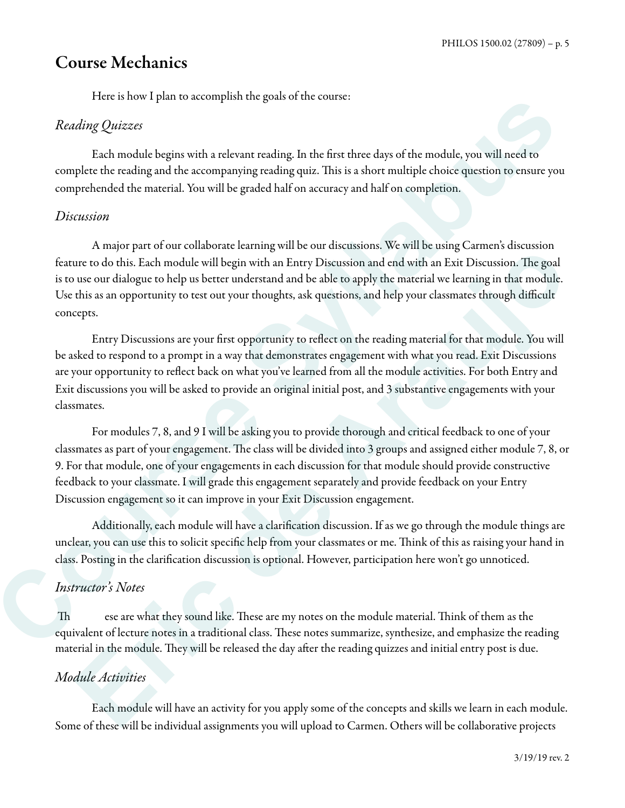# Course Mechanics

Here is how I plan to accomplish the goals of the course:

#### *Reading Quizzes*

 Each module begins with a relevant reading. In the first three days of the module, you will need to complete the reading and the accompanying reading quiz. This is a short multiple choice question to ensure you comprehended the material. You will be graded half on accuracy and half on completion.

#### *Discussion*

 A major part of our collaborate learning will be our discussions. We will be using Carmen's discussion feature to do this. Each module will begin with an Entry Discussion and end with an Exit Discussion. The goal is to use our dialogue to help us better understand and be able to apply the material we learning in that module. Use this as an opportunity to test out your thoughts, ask questions, and help your classmates through difficult concepts.

 Entry Discussions are your first opportunity to reflect on the reading material for that module. You will be asked to respond to a prompt in a way that demonstrates engagement with what you read. Exit Discussions are your opportunity to reflect back on what you've learned from all the module activities. For both Entry and Exit discussions you will be asked to provide an original initial post, and 3 substantive engagements with your classmates.

 For modules 7, 8, and 9 I will be asking you to provide thorough and critical feedback to one of your classmates as part of your engagement. The class will be divided into 3 groups and assigned either module 7, 8, or 9. For that module, one of your engagements in each discussion for that module should provide constructive feedback to your classmate. I will grade this engagement separately and provide feedback on your Entry Discussion engagement so it can improve in your Exit Discussion engagement. For the note is platt to accompassion the course:<br> *Course of the modelic bagins with a relevant mailing*. In the fore three days of the modelic, you will nead to<br>
complete the mainland lengths with a relevant mailing. In They may have our constraints carrent in each discussions. He we not assuge cannot and the start models of the start models in the individual section of the constraints and the models of the models. The gradient of the par

 Additionally, each module will have a clarification discussion. If as we go through the module things are unclear, you can use this to solicit specific help from your classmates or me. Think of this as raising your hand in class. Posting in the clarification discussion is optional. However, participation here won't go unnoticed.

#### *Instructor's Notes*

Th ese are what they sound like. These are my notes on the module material. Think of them as the equivalent of lecture notes in a traditional class. These notes summarize, synthesize, and emphasize the reading material in the module. They will be released the day after the reading quizzes and initial entry post is due.

#### *Module Activities*

Each module will have an activity for you apply some of the concepts and skills we learn in each module. Some of these will be individual assignments you will upload to Carmen. Others will be collaborative projects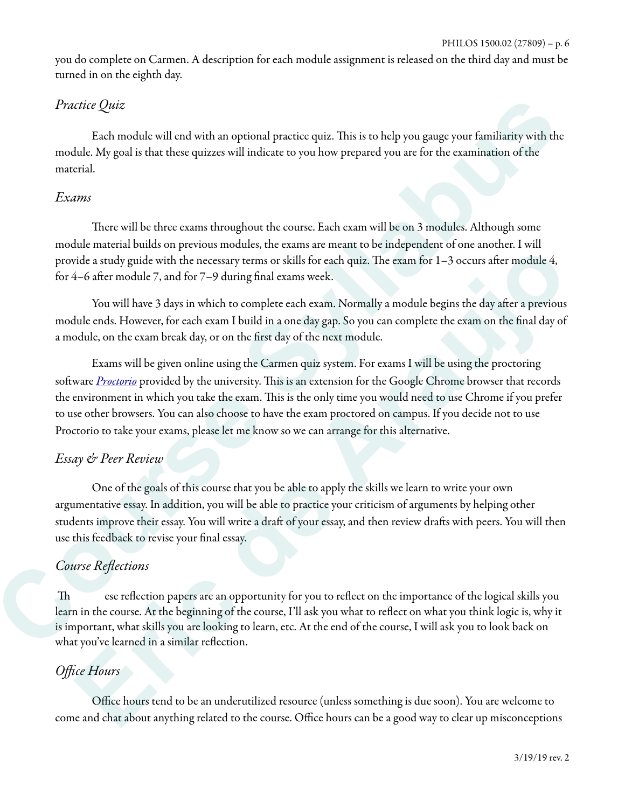you do complete on Carmen. A description for each module assignment is released on the third day and must be turned in on the eighth day.

#### *Practice Quiz*

Each module will end with an optional practice quiz. This is to help you gauge your familiarity with the module. My goal is that these quizzes will indicate to you how prepared you are for the examination of the material.

#### *Exams*

There will be three exams throughout the course. Each exam will be on 3 modules. Although some module material builds on previous modules, the exams are meant to be independent of one another. I will provide a study guide with the necessary terms or skills for each quiz. The exam for  $1-3$  occurs after module 4, for 4–6 after module 7, and for 7–9 during final exams week.

You will have 3 days in which to complete each exam. Normally a module begins the day after a previous module ends. However, for each exam I build in a one day gap. So you can complete the exam on the final day of a module, on the exam break day, or on the first day of the next module.

 Exams will be given online using the Carmen quiz system. For exams I will be using the proctoring software *Proctorio* provided by the university. This is an extension for the Google Chrome browser that records the environment in which you take the exam. This is the only time you would need to use Chrome if you prefer to use other browsers. You can also choose to have the exam proctored on campus. If you decide not to use Proctorio to take your exams, please let me know so we can arrange for this alternative. *Practice Quiz*<br> *Cash module will ead with an optional practice quiz. This is to help you gauge your familiatity with the<br>
module. My goal is that these equizes will indicate to you how prepared you are for the examinatio* The constrainant of the constrained and the course. The case of the course of the course of the course of the course of the course of the course of the course of the course of the course of the course of the course of the

#### *Essay & Peer Review*

 One of the goals of this course that you be able to apply the skills we learn to write your own argumentative essay. In addition, you will be able to practice your criticism of arguments by helping other students improve their essay. You will write a draft of your essay, and then review drafts with peers. You will then use this feedback to revise your final essay.

#### *Course Re*fl*ections*

Th ese reflection papers are an opportunity for you to reflect on the importance of the logical skills you learn in the course. At the beginning of the course, I'll ask you what to reflect on what you think logic is, why it is important, what skills you are looking to learn, etc. At the end of the course, I will ask you to look back on what you've learned in a similar reflection.

#### *O*ffi*ce Hours*

 Office hours tend to be an underutilized resource (unless something is due soon). You are welcome to come and chat about anything related to the course. Office hours can be a good way to clear up misconceptions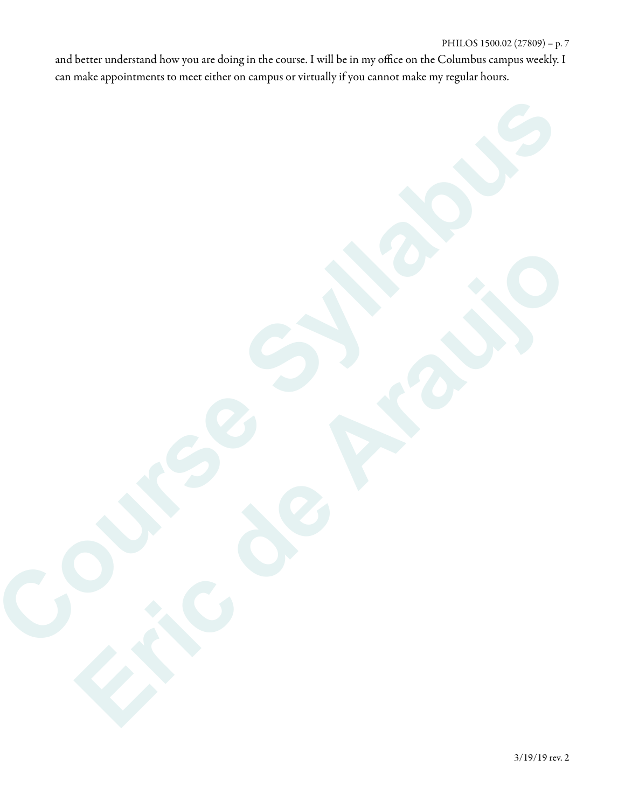and better understand how you are doing in the course. I will be in my office on the Columbus campus weekly. I can make appointments to meet either on campus or virtually if you cannot make my regular hours.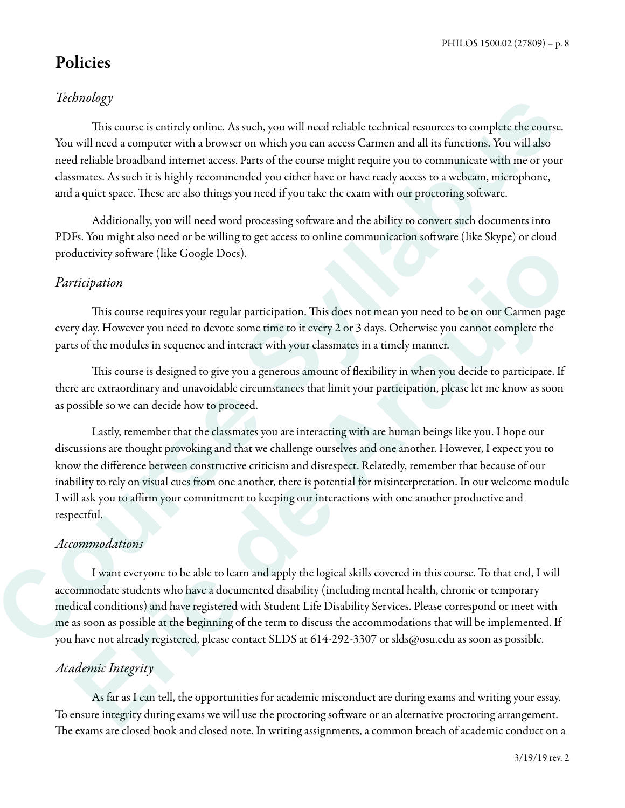# Policies

### *Technology*

This course is entirely online. As such, you will need reliable technical resources to complete the course. You will need a computer with a browser on which you can access Carmen and all its functions. You will also need reliable broadband internet access. Parts of the course might require you to communicate with me or your classmates. As such it is highly recommended you either have or have ready access to a webcam, microphone, and a quiet space. These are also things you need if you take the exam with our proctoring software.

 Additionally, you will need word processing sofware and the ability to convert such documents into PDFs. You might also need or be willing to get access to online communication sofware (like Skype) or cloud productivity software (like Google Docs).

#### *Participation*

This course requires your regular participation. This does not mean you need to be on our Carmen page every day. However you need to devote some time to it every 2 or 3 days. Otherwise you cannot complete the parts of the modules in sequence and interact with your classmates in a timely manner.

This course is designed to give you a generous amount of flexibility in when you decide to participate. If there are extraordinary and unavoidable circumstances that limit your participation, please let me know as soon as possible so we can decide how to proceed.

 Lastly, remember that the classmates you are interacting with are human beings like you. I hope our discussions are thought provoking and that we challenge ourselves and one another. However, I expect you to know the difference between constructive criticism and disrespect. Relatedly, remember that because of our inability to rely on visual cues from one another, there is potential for misinterpretation. In our welcome module I will ask you to affirm your commitment to keeping our interactions with one another productive and respectful. **Contradicts**<br>
This course is entirely online. As such, you will need relable rechnical nearries to complete the course.<br>
You will need a a computer with a browser in which you can actuaC carmen and all its forections. You the<br>thereivity software (like Google Does).<br>
His patition<br>
This course requires your regular participation. This does not mean you need to be on our Cammen<br>
page of the modules in sequence and interest with your classmates

#### *Accommodations*

 I want everyone to be able to learn and apply the logical skills covered in this course. To that end, I will accommodate students who have a documented disability (including mental health, chronic or temporary medical conditions) and have registered with Student Life Disability Services. Please correspond or meet with me as soon as possible at the beginning of the term to discuss the accommodations that will be implemented. If you have not already registered, please contact SLDS at 614-292-3307 or slds@osu.edu as soon as possible.

#### *Academic Integrity*

 As far as I can tell, the opportunities for academic misconduct are during exams and writing your essay. To ensure integrity during exams we will use the proctoring sofware or an alternative proctoring arrangement. The exams are closed book and closed note. In writing assignments, a common breach of academic conduct on a